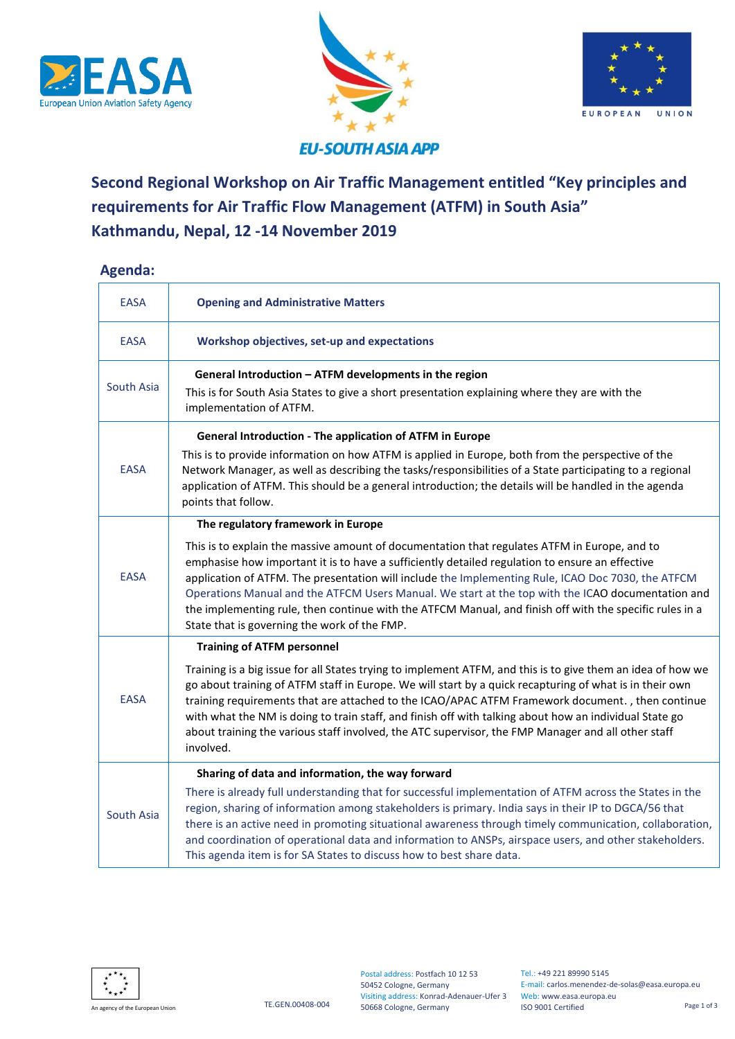





## **EU-SOUTH ASIA APP**

## **Second Regional Workshop on Air Traffic Management entitled "Key principles and requirements for Air Traffic Flow Management (ATFM) in South Asia" Kathmandu, Nepal, 12 -14 November 2019**

## **Agenda:**

| <b>EASA</b> | <b>Opening and Administrative Matters</b>                                                                                                                                                                                                                                                                                                                                                                                                                                                                                                                             |
|-------------|-----------------------------------------------------------------------------------------------------------------------------------------------------------------------------------------------------------------------------------------------------------------------------------------------------------------------------------------------------------------------------------------------------------------------------------------------------------------------------------------------------------------------------------------------------------------------|
| <b>EASA</b> | Workshop objectives, set-up and expectations                                                                                                                                                                                                                                                                                                                                                                                                                                                                                                                          |
| South Asia  | General Introduction - ATFM developments in the region                                                                                                                                                                                                                                                                                                                                                                                                                                                                                                                |
|             | This is for South Asia States to give a short presentation explaining where they are with the<br>implementation of ATFM.                                                                                                                                                                                                                                                                                                                                                                                                                                              |
|             | <b>General Introduction - The application of ATFM in Europe</b>                                                                                                                                                                                                                                                                                                                                                                                                                                                                                                       |
| <b>EASA</b> | This is to provide information on how ATFM is applied in Europe, both from the perspective of the<br>Network Manager, as well as describing the tasks/responsibilities of a State participating to a regional<br>application of ATFM. This should be a general introduction; the details will be handled in the agenda<br>points that follow.                                                                                                                                                                                                                         |
|             | The regulatory framework in Europe                                                                                                                                                                                                                                                                                                                                                                                                                                                                                                                                    |
| <b>EASA</b> | This is to explain the massive amount of documentation that regulates ATFM in Europe, and to<br>emphasise how important it is to have a sufficiently detailed regulation to ensure an effective<br>application of ATFM. The presentation will include the Implementing Rule, ICAO Doc 7030, the ATFCM<br>Operations Manual and the ATFCM Users Manual. We start at the top with the ICAO documentation and<br>the implementing rule, then continue with the ATFCM Manual, and finish off with the specific rules in a<br>State that is governing the work of the FMP. |
| <b>EASA</b> | <b>Training of ATFM personnel</b>                                                                                                                                                                                                                                                                                                                                                                                                                                                                                                                                     |
|             | Training is a big issue for all States trying to implement ATFM, and this is to give them an idea of how we<br>go about training of ATFM staff in Europe. We will start by a quick recapturing of what is in their own<br>training requirements that are attached to the ICAO/APAC ATFM Framework document., then continue<br>with what the NM is doing to train staff, and finish off with talking about how an individual State go<br>about training the various staff involved, the ATC supervisor, the FMP Manager and all other staff<br>involved.               |
| South Asia  | Sharing of data and information, the way forward                                                                                                                                                                                                                                                                                                                                                                                                                                                                                                                      |
|             | There is already full understanding that for successful implementation of ATFM across the States in the<br>region, sharing of information among stakeholders is primary. India says in their IP to DGCA/56 that<br>there is an active need in promoting situational awareness through timely communication, collaboration,<br>and coordination of operational data and information to ANSPs, airspace users, and other stakeholders.<br>This agenda item is for SA States to discuss how to best share data.                                                          |



Visiting address: Konrad-Adenauer-Ufer 3 Web: www.easa.europa.eu Postal address: Postfach 10 12 53 50452 Cologne, Germany 50668 Cologne, Germany

Tel.: +49 221 89990 5145 E-mail: carlos.menendez-de-solas@easa.europa.eu ISO 9001 Certified Page 1 of 3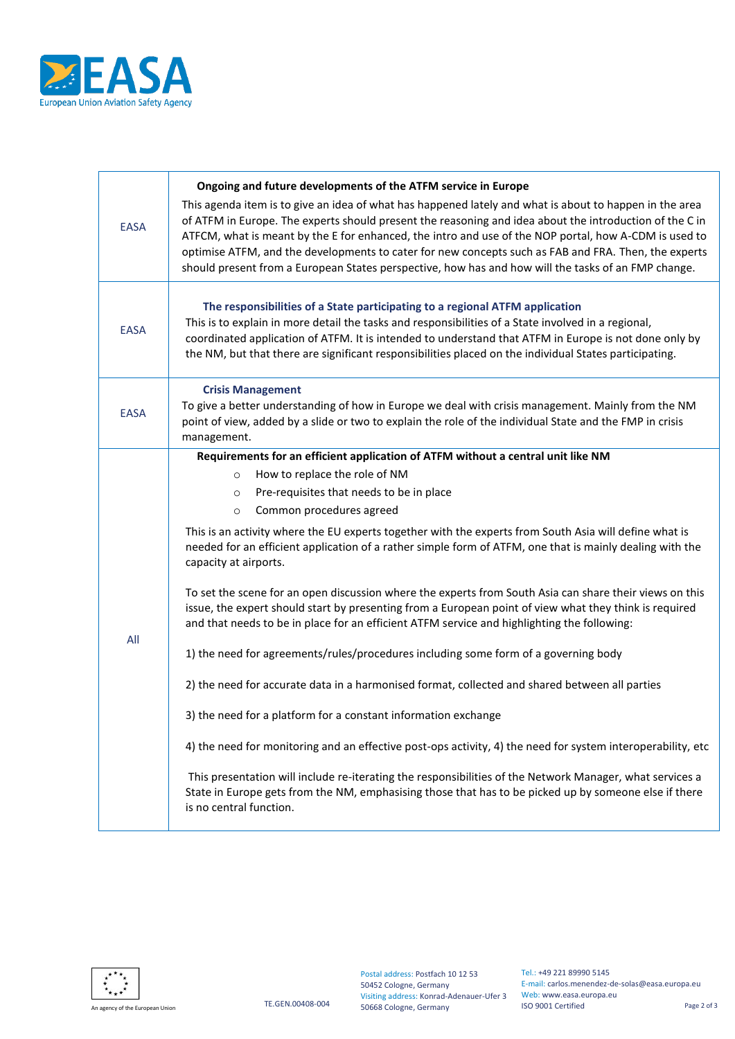

| <b>EASA</b> | Ongoing and future developments of the ATFM service in Europe<br>This agenda item is to give an idea of what has happened lately and what is about to happen in the area<br>of ATFM in Europe. The experts should present the reasoning and idea about the introduction of the C in<br>ATFCM, what is meant by the E for enhanced, the intro and use of the NOP portal, how A-CDM is used to<br>optimise ATFM, and the developments to cater for new concepts such as FAB and FRA. Then, the experts<br>should present from a European States perspective, how has and how will the tasks of an FMP change.                                                                                                                                                                                                                                                                                                                                                                                                                                                                                                                                                                                                                                                                                                                                                                                                             |
|-------------|-------------------------------------------------------------------------------------------------------------------------------------------------------------------------------------------------------------------------------------------------------------------------------------------------------------------------------------------------------------------------------------------------------------------------------------------------------------------------------------------------------------------------------------------------------------------------------------------------------------------------------------------------------------------------------------------------------------------------------------------------------------------------------------------------------------------------------------------------------------------------------------------------------------------------------------------------------------------------------------------------------------------------------------------------------------------------------------------------------------------------------------------------------------------------------------------------------------------------------------------------------------------------------------------------------------------------------------------------------------------------------------------------------------------------|
| <b>EASA</b> | The responsibilities of a State participating to a regional ATFM application<br>This is to explain in more detail the tasks and responsibilities of a State involved in a regional,<br>coordinated application of ATFM. It is intended to understand that ATFM in Europe is not done only by<br>the NM, but that there are significant responsibilities placed on the individual States participating.                                                                                                                                                                                                                                                                                                                                                                                                                                                                                                                                                                                                                                                                                                                                                                                                                                                                                                                                                                                                                  |
| <b>EASA</b> | <b>Crisis Management</b><br>To give a better understanding of how in Europe we deal with crisis management. Mainly from the NM<br>point of view, added by a slide or two to explain the role of the individual State and the FMP in crisis<br>management.                                                                                                                                                                                                                                                                                                                                                                                                                                                                                                                                                                                                                                                                                                                                                                                                                                                                                                                                                                                                                                                                                                                                                               |
| All         | Requirements for an efficient application of ATFM without a central unit like NM<br>How to replace the role of NM<br>$\circ$<br>Pre-requisites that needs to be in place<br>$\circ$<br>Common procedures agreed<br>$\circ$<br>This is an activity where the EU experts together with the experts from South Asia will define what is<br>needed for an efficient application of a rather simple form of ATFM, one that is mainly dealing with the<br>capacity at airports.<br>To set the scene for an open discussion where the experts from South Asia can share their views on this<br>issue, the expert should start by presenting from a European point of view what they think is required<br>and that needs to be in place for an efficient ATFM service and highlighting the following:<br>1) the need for agreements/rules/procedures including some form of a governing body<br>2) the need for accurate data in a harmonised format, collected and shared between all parties<br>3) the need for a platform for a constant information exchange<br>4) the need for monitoring and an effective post-ops activity, 4) the need for system interoperability, etc<br>This presentation will include re-iterating the responsibilities of the Network Manager, what services a<br>State in Europe gets from the NM, emphasising those that has to be picked up by someone else if there<br>is no central function. |



Postal address: Postfach 10 12 53 50452 Cologne, Germany Visiting address: Konrad-Adenauer-Ufer 3

An agency of the European Union **Annual Example 2** of 3 Cologne, Germany **Annual Cologne, Germany Annual Cologne, Germany Cologne, Germany Cologne, Germany Cologne, Germany Cologne, Germany Cologne, Germany C** Tel.: +49 221 89990 5145 E-mail: carlos.menendez-de-solas@easa.europa.eu Web: www.easa.europa.eu ISO 9001 Certified